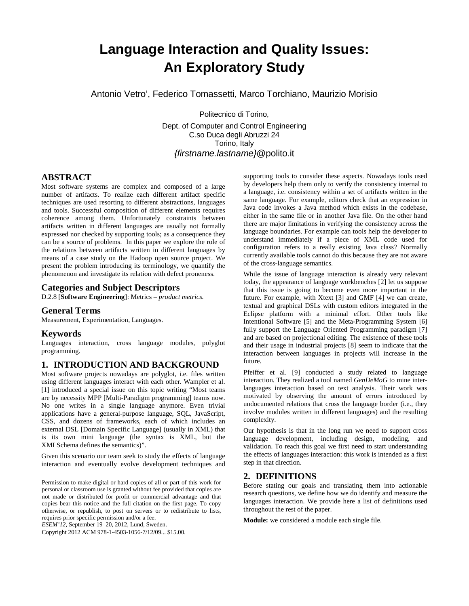# **Language Interaction and Quality Issues: An Exploratory Study**

Antonio Vetro', Federico Tomassetti, Marco Torchiano, Maurizio Morisio

Politecnico di Torino, Dept. of Computer and Control Engineering C.so Duca degli Abruzzi 24 Torino, Italy {firstname.lastname}@polito.it

# **ABSTRACT**

Most software systems are complex and composed of a large number of artifacts. To realize each different artifact specific techniques are used resorting to different abstractions, languages and tools. Successful composition of different elements requires coherence among them. Unfortunately constraints between artifacts written in different languages are usually not formally expressed nor checked by supporting tools; as a consequence they can be a source of problems. In this paper we explore the role of the relations between artifacts written in different languages by means of a case study on the Hadoop open source project. We present the problem introducing its terminology, we quantify the phenomenon and investigate its relation with defect proneness.

# **Categories and Subject Descriptors**

D.2.8 [**Software Engineering**]: Metrics – *product metrics.* 

# **General Terms**

Measurement, Experimentation, Languages.

## **Keywords**

Languages interaction, cross language modules, polyglot programming.

## **1. INTRODUCTION AND BACKGROUND**

Most software projects nowadays are polyglot, i.e. files written using different languages interact with each other. Wampler et al. [1] introduced a special issue on this topic writing "Most teams are by necessity MPP [Multi-Paradigm programming] teams now. No one writes in a single language anymore. Even trivial applications have a general-purpose language, SQL, JavaScript, CSS, and dozens of frameworks, each of which includes an external DSL [Domain Specific Language] (usually in XML) that is its own mini language (the syntax is XML, but the XMLSchema defines the semantics)".

Given this scenario our team seek to study the effects of language interaction and eventually evolve development techniques and

Permission to make digital or hard copies of all or part of this work for personal or classroom use is granted without fee provided that copies are not made or distributed for profit or commercial advantage and that copies bear this notice and the full citation on the first page. To copy otherwise, or republish, to post on servers or to redistribute to lists, requires prior specific permission and/or a fee.

*ESEM'12,* September 19–20, 2012, Lund, Sweden.

Copyright 2012 ACM 978-1-4503-1056-7/12/09... \$15.00.

supporting tools to consider these aspects. Nowadays tools used by developers help them only to verify the consistency internal to a language, i.e. consistency within a set of artifacts written in the same language. For example, editors check that an expression in Java code invokes a Java method which exists in the codebase, either in the same file or in another Java file. On the other hand there are major limitations in verifying the consistency across the language boundaries. For example can tools help the developer to understand immediately if a piece of XML code used for configuration refers to a really existing Java class? Normally currently available tools cannot do this because they are not aware of the cross-language semantics.

While the issue of language interaction is already very relevant today, the appearance of language workbenches [2] let us suppose that this issue is going to become even more important in the future. For example, with Xtext [3] and GMF [4] we can create, textual and graphical DSLs with custom editors integrated in the Eclipse platform with a minimal effort. Other tools like Intentional Software [5] and the Meta-Programming System [6] fully support the Language Oriented Programming paradigm [7] and are based on projectional editing. The existence of these tools and their usage in industrial projects [8] seem to indicate that the interaction between languages in projects will increase in the future.

Pfeiffer et al. [9] conducted a study related to language interaction. They realized a tool named *GenDeMoG* to mine interlanguages interaction based on text analysis. Their work was motivated by observing the amount of errors introduced by undocumented relations that cross the language border (i.e., they involve modules written in different languages) and the resulting complexity.

Our hypothesis is that in the long run we need to support cross language development, including design, modeling, and validation. To reach this goal we first need to start understanding the effects of languages interaction: this work is intended as a first step in that direction.

## **2. DEFINITIONS**

Before stating our goals and translating them into actionable research questions, we define how we do identify and measure the languages interaction. We provide here a list of definitions used throughout the rest of the paper.

**Module:** we considered a module each single file.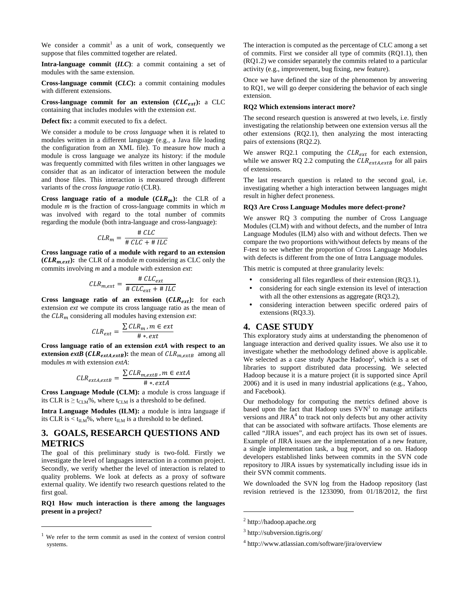We consider a commit<sup>1</sup> as a unit of work, consequently we suppose that files committed together are related.

**Intra-language commit (***ILC***)**: a commit containing a set of modules with the same extension.

**Cross-language commit (***CLC***):** a commit containing modules with different extensions.

Cross-language commit for an extension  $(CLC_{ext})$ : a CLC containing that includes modules with the extension *ext*.

**Defect fix:** a commit executed to fix a defect.

We consider a module to be *cross language* when it is related to modules written in a different language (e.g., a Java file loading the configuration from an XML file). To measure how much a module is cross language we analyze its history: if the module was frequently committed with files written in other languages we consider that as an indicator of interaction between the module and those files. This interaction is measured through different variants of the *cross language ratio* (CLR).

**Cross language ratio of a module**  $(CLR_m)$ **: the CLR of a** module *m* is the fraction of cross-language commits in which *m* was involved with regard to the total number of commits regarding the module (both intra-language and cross-language):

$$
CLR_m = \frac{\# CLC}{\# CLC + \# ILC}
$$

**Cross language ratio of a module with regard to an extension**   $(CLR_{m,ext})$ : the CLR of a module *m* considering as CLC only the commits involving *m* and a module with extension *ext*:

$$
CLR_{m,ext} = \frac{\# CLC_{ext}}{\# CLC_{ext} + \# ILC}
$$

**Cross language ratio of an extension**  $(CLR_{ext})$ **: for each** extension *ext* we compute its cross language ratio as the mean of the  $CLR_m$  considering all modules having extension  $ext$ :

$$
CLR_{ext} = \frac{\sum CLR_m, m \in ext}{\# * . ext}
$$

**Cross language ratio of an extension** *extA* **with respect to an extension** *extB* (*CLR*<sub>*extA,extB*): the mean of  $CLR_{m,extB}$  among all</sub> modules *m* with extension *extA*:

$$
CLR_{extA,extB} = \frac{\sum CLR_{m,extB}, m \in extA}{\# * . extA}
$$

**Cross Language Module (CLM):** a module is cross language if its CLR is  $\geq t_{CLM}\%$ , where  $t_{CLM}$  is a threshold to be defined.

**Intra Language Modules (ILM):** a module is intra language if its CLR is  $\lt t_{\text{II},M}\%$ , where  $t_{\text{II},M}$  is a threshold to be defined.

# **3. GOALS, RESEARCH QUESTIONS AND METRICS**

The goal of this preliminary study is two-fold. Firstly we investigate the level of languages interaction in a common project. Secondly, we verify whether the level of interaction is related to quality problems. We look at defects as a proxy of software external quality. We identify two research questions related to the first goal.

**RQ1 How much interaction is there among the languages present in a project?** 

1

The interaction is computed as the percentage of CLC among a set of commits. First we consider all type of commits (RQ1.1), then (RQ1.2) we consider separately the commits related to a particular activity (e.g., improvement, bug fixing, new feature).

Once we have defined the size of the phenomenon by answering to RQ1, we will go deeper considering the behavior of each single extension.

#### **RQ2 Which extensions interact more?**

The second research question is answered at two levels, i.e. firstly investigating the relationship between one extension versus all the other extensions (RQ2.1), then analyzing the most interacting pairs of extensions (RQ2.2).

We answer RQ2.1 computing the  $CLR_{ext}$  for each extension, while we answer RQ 2.2 computing the  $CLR_{extA,extB}$  for all pairs of extensions.

The last research question is related to the second goal, i.e. investigating whether a high interaction between languages might result in higher defect proneness.

#### **RQ3 Are Cross Language Modules more defect-prone?**

We answer RQ 3 computing the number of Cross Language Modules (CLM) with and without defects, and the number of Intra Language Modules (ILM) also with and without defects. Then we compare the two proportions with/without defects by means of the F-test to see whether the proportion of Cross Language Modules with defects is different from the one of Intra Language modules.

This metric is computed at three granularity levels:

- considering all files regardless of their extension (RQ3.1),
- considering for each single extension its level of interaction with all the other extensions as aggregate (RQ3.2),
- considering interaction between specific ordered pairs of extensions (RQ3.3).

# **4. CASE STUDY**

This exploratory study aims at understanding the phenomenon of language interaction and derived quality issues. We also use it to investigate whether the methodology defined above is applicable. We selected as a case study Apache Hadoop<sup>2</sup>, which is a set of libraries to support distributed data processing. We selected Hadoop because it is a mature project (it is supported since April 2006) and it is used in many industrial applications (e.g., Yahoo, and Facebook).

Our methodology for computing the metrics defined above is based upon the fact that Hadoop uses  $SVN<sup>3</sup>$  to manage artifacts versions and JIRA<sup>4</sup> to track not only defects but any other activity that can be associated with software artifacts. Those elements are called "JIRA issues", and each project has its own set of issues. Example of JIRA issues are the implementation of a new feature, a single implementation task, a bug report, and so on. Hadoop developers established links between commits in the SVN code repository to JIRA issues by systematically including issue ids in their SVN commit comments.

We downloaded the SVN log from the Hadoop repository (last revision retrieved is the 1233090, from 01/18/2012, the first

1

We refer to the term commit as used in the context of version control systems.

<sup>&</sup>lt;sup>2</sup> http://hadoop.apache.org

<sup>3</sup> http://subversion.tigris.org/

<sup>4</sup> http://www.atlassian.com/software/jira/overview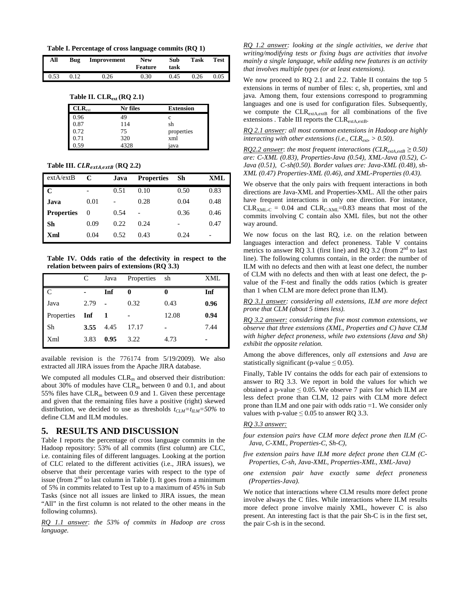**Table I. Percentage of cross language commits (RQ 1)**

| All  | Bug  | Improvement | <b>New</b><br>Feature | Sub<br>task | Task | <b>Test</b> |
|------|------|-------------|-----------------------|-------------|------|-------------|
| 0.53 | 0.12 | 0.26        | 0.30                  | 0.45        | 0.26 | 0.05        |

**Table II. CLRext (RQ 2.1)** 

| $CLR_{ext}$ | Nr files | <b>Extension</b> |
|-------------|----------|------------------|
| 0.96        | 49       | C                |
| 0.87        | 114      | sh               |
| 0.72        | 75       | properties       |
| 0.71        | 320      | xml              |
| 0.59        | 4328     | iava             |

**Table III.**  $CLR_{extA,extB}$  (**RQ 2.2**)

| extA/extB         | C    | Java  | <b>Properties</b> | Sh   | XML  |
|-------------------|------|-------|-------------------|------|------|
| C                 |      | 0.51  | 0.10              | 0.50 | 0.83 |
| Java              | 0.01 |       | 0.28              | 0.04 | 0.48 |
| <b>Properties</b> | 0    | 0.54  |                   | 0.36 | 0.46 |
| Sh                | 0.09 | 0.22. | 0.24              |      | 0.47 |
| Xml               | 0.04 | 0.52  | 0.43              | 0.24 |      |

**Table IV. Odds ratio of the defectivity in respect to the relation between pairs of extensions (RQ 3.3)** 

|            | C    | Java           | Properties | sh    | XML  |
|------------|------|----------------|------------|-------|------|
| C          |      | Inf            | 0          | 0     | Inf  |
| Java       | 2.79 | $\overline{a}$ | 0.32       | 0.43  | 0.96 |
| Properties | Inf  | $\blacksquare$ |            | 12.08 | 0.94 |
| Sh         | 3.55 | 4.45           | 17.17      | ۰     | 7.44 |
| Xml        | 3.83 | 0.95           | 3.22       | 4.73  | -    |

available revision is the 776174 from 5/19/2009). We also extracted all JIRA issues from the Apache JIRA database.

We computed all modules  $CLR<sub>m</sub>$  and observed their distribution: about 30% of modules have  $CLR_m$  between 0 and 0.1, and about 55% files have  $CLR_m$  between 0.9 and 1. Given these percentage and given that the remaining files have a positive (right) skewed distribution, we decided to use as thresholds  $t_{CIM} = t_{IIM} = 50\%$  to define CLM and ILM modules.

# **5. RESULTS AND DISCUSSION**

Table I reports the percentage of cross language commits in the Hadoop repository: 53% of all commits (first column) are CLC, i.e. containing files of different languages. Looking at the portion of CLC related to the different activities (i.e., JIRA issues), we observe that their percentage varies with respect to the type of issue (from  $2<sup>nd</sup>$  to last column in Table I). It goes from a minimum of 5% in commits related to Test up to a maximum of 45% in Sub Tasks (since not all issues are linked to JIRA issues, the mean "All" in the first column is not related to the other means in the following columns).

*RQ 1.1 answer*: *the 53% of commits in Hadoop are cross language.* 

*RQ 1.2 answer: looking at the single activities, we derive that writing/modifying tests or fixing bugs are activities that involve mainly a single language, while adding new features is an activity that involves multiple types (or at least extensions).*

We now proceed to RQ 2.1 and 2.2. Table II contains the top 5 extensions in terms of number of files: c, sh, properties, xml and java. Among them, four extensions correspond to programming languages and one is used for configuration files. Subsequently, we compute the CLR<sub>extA,extB</sub> for all combinations of the five extensions . Table III reports the CLR<sub>extA,extB</sub>.

*RQ 2.1 answer: all most common extensions in Hadoop are highly interacting with other extensions (i.e., CLRext, > 0.50)*.

*RQ2.2 answer*: *the most frequent interactions (CLR*<sub>*extA,extB*  $\geq$  0.50)</sub> *are: C-XML (0.83), Properties-Java (0.54), XML-Java (0.52), C-Java (0.51), C-sh(0.50). Border values are: Java-XML (0.48), sh-XML (0.47) Properties-XML (0.46), and XML-Properties (0.43).*

We observe that the only pairs with frequent interactions in both directions are Java-XML and Properties-XML. All the other pairs have frequent interactions in only one direction. For instance,  $CLR<sub>XML-C</sub> = 0.04$  and  $CLR<sub>C-XMI</sub>=0.83$  means that most of the commits involving C contain also XML files, but not the other way around.

We now focus on the last RQ, i.e. on the relation between languages interaction and defect proneness. Table V contains metrics to answer RQ 3.1 (first line) and RQ 3.2 (from  $2<sup>nd</sup>$  to last line). The following columns contain, in the order: the number of ILM with no defects and then with at least one defect, the number of CLM with no defects and then with at least one defect, the pvalue of the F-test and finally the odds ratios (which is greater than 1 when CLM are more defect prone than ILM).

*RQ 3.1 answer: considering all extensions, ILM are more defect prone that CLM (about 5 times less).* 

*RQ 3.2 answer: considering the five most common extensions, we observe that three extensions (XML, Properties and C) have CLM with higher defect proneness, while two extensions (Java and Sh) exhibit the opposite relation.* 

Among the above differences, only *all extensions* and *Java* are statistically significant (p-value  $\leq 0.05$ ).

Finally, Table IV contains the odds for each pair of extensions to answer to RQ 3.3. We report in bold the values for which we obtained a p-value  $\leq 0.05$ . We observe 7 pairs for which ILM are less defect prone than CLM, 12 pairs with CLM more defect prone than ILM and one pair with odds ratio =1. We consider only values with p-value  $\leq 0.05$  to answer RQ 3.3.

## *RQ 3.3 answer:*

- *four extension pairs have CLM more defect prone then ILM (C-Java, C-XML, Properties-C, Sh-C),*
- *five extension pairs have ILM more defect prone then CLM (C-Properties, C-sh, Java-XML, Properties-XML, XML-Java)*
- *one extension pair have exactly same defect proneness (Properties-Java).*

We notice that interactions where CLM results more defect prone involve always the C files. While interactions where ILM results more defect prone involve mainly XML, however C is also present. An interesting fact is that the pair Sh-C is in the first set, the pair C-sh is in the second.